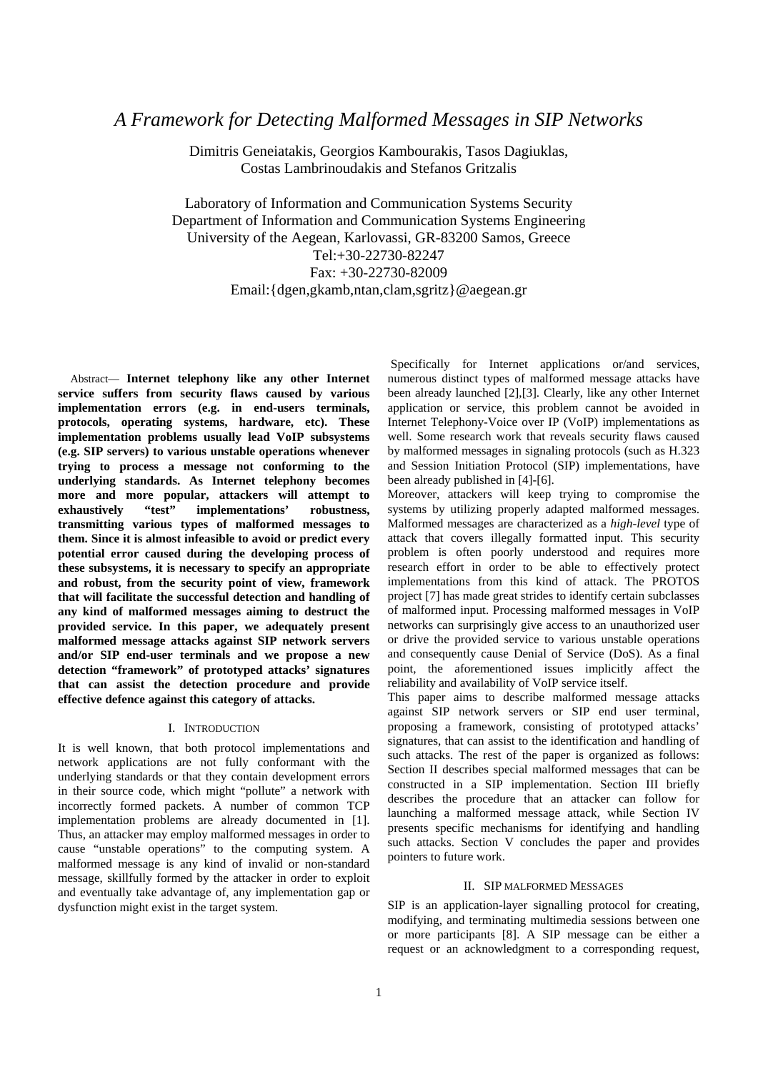# *A Framework for Detecting Malformed Messages in SIP Networks*

Dimitris Geneiatakis, Georgios Kambourakis, Tasos Dagiuklas, Costas Lambrinoudakis and Stefanos Gritzalis

Laboratory of Information and Communication Systems Security Department of Information and Communication Systems Engineering University of the Aegean, Karlovassi, GR-83200 Samos, Greece Tel:+30-22730-82247 Fax: +30-22730-82009 Email:{dgen,gkamb,ntan,clam,sgritz}@aegean.gr

Abstract— **Internet telephony like any other Internet service suffers from security flaws caused by various implementation errors (e.g. in end-users terminals, protocols, operating systems, hardware, etc). These implementation problems usually lead VoIP subsystems (e.g. SIP servers) to various unstable operations whenever trying to process a message not conforming to the underlying standards. As Internet telephony becomes more and more popular, attackers will attempt to exhaustively "test" implementations' robustness, transmitting various types of malformed messages to them. Since it is almost infeasible to avoid or predict every potential error caused during the developing process of these subsystems, it is necessary to specify an appropriate and robust, from the security point of view, framework that will facilitate the successful detection and handling of any kind of malformed messages aiming to destruct the provided service. In this paper, we adequately present malformed message attacks against SIP network servers and/or SIP end-user terminals and we propose a new detection "framework" of prototyped attacks' signatures that can assist the detection procedure and provide effective defence against this category of attacks.** 

### I. INTRODUCTION

It is well known, that both protocol implementations and network applications are not fully conformant with the underlying standards or that they contain development errors in their source code, which might "pollute" a network with incorrectly formed packets. A number of common TCP implementation problems are already documented in [1]. Thus, an attacker may employ malformed messages in order to cause "unstable operations" to the computing system. A malformed message is any kind of invalid or non-standard message, skillfully formed by the attacker in order to exploit and eventually take advantage of, any implementation gap or dysfunction might exist in the target system.

 Specifically for Internet applications or/and services, numerous distinct types of malformed message attacks have been already launched [2],[3]. Clearly, like any other Internet application or service, this problem cannot be avoided in Internet Telephony-Voice over IP (VoIP) implementations as well. Some research work that reveals security flaws caused by malformed messages in signaling protocols (such as H.323 and Session Initiation Protocol (SIP) implementations, have been already published in [4]-[6].

Moreover, attackers will keep trying to compromise the systems by utilizing properly adapted malformed messages. Malformed messages are characterized as a *high-level* type of attack that covers illegally formatted input. This security problem is often poorly understood and requires more research effort in order to be able to effectively protect implementations from this kind of attack. The PROTOS project [7] has made great strides to identify certain subclasses of malformed input. Processing malformed messages in VoIP networks can surprisingly give access to an unauthorized user or drive the provided service to various unstable operations and consequently cause Denial of Service (DoS). As a final point, the aforementioned issues implicitly affect the reliability and availability of VoIP service itself.

This paper aims to describe malformed message attacks against SIP network servers or SIP end user terminal, proposing a framework, consisting of prototyped attacks' signatures, that can assist to the identification and handling of such attacks. The rest of the paper is organized as follows: Section II describes special malformed messages that can be constructed in a SIP implementation. Section III briefly describes the procedure that an attacker can follow for launching a malformed message attack, while Section IV presents specific mechanisms for identifying and handling such attacks. Section V concludes the paper and provides pointers to future work.

## II. SIP MALFORMED MESSAGES

SIP is an application-layer signalling protocol for creating, modifying, and terminating multimedia sessions between one or more participants [8]. A SIP message can be either a request or an acknowledgment to a corresponding request,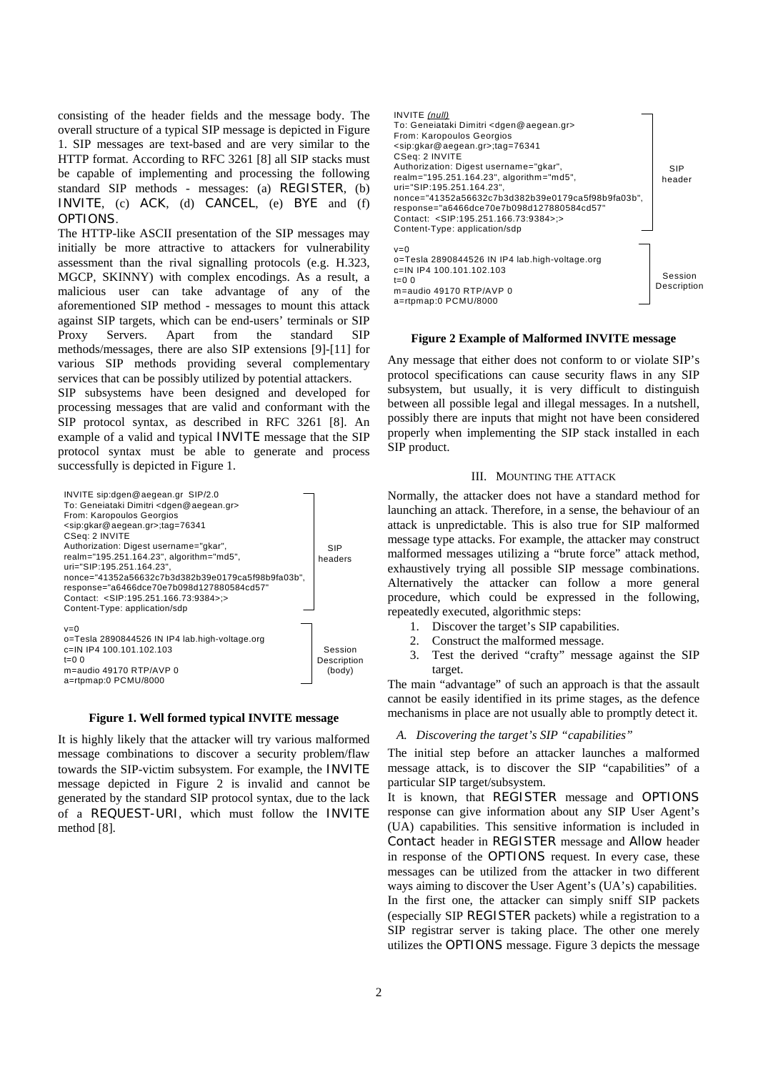consisting of the header fields and the message body. The overall structure of a typical SIP message is depicted in Figure 1. SIP messages are text-based and are very similar to the HTTP format. According to RFC 3261 [8] all SIP stacks must be capable of implementing and processing the following standard SIP methods - messages: (a) REGISTER, (b) INVITE, (c) ACK, (d) CANCEL, (e) BYE and (f) OPTIONS.

The HTTP-like ASCII presentation of the SIP messages may initially be more attractive to attackers for vulnerability assessment than the rival signalling protocols (e.g. H.323, MGCP, SKINNY) with complex encodings. As a result, a malicious user can take advantage of any of the aforementioned SIP method - messages to mount this attack against SIP targets, which can be end-users' terminals or SIP Proxy Servers. Apart from the standard SIP methods/messages, there are also SIP extensions [9]-[11] for various SIP methods providing several complementary services that can be possibly utilized by potential attackers.

SIP subsystems have been designed and developed for processing messages that are valid and conformant with the SIP protocol syntax, as described in RFC 3261 [8]. An example of a valid and typical INVITE message that the SIP protocol syntax must be able to generate and process successfully is depicted in Figure 1.



**Figure 1. Well formed typical INVITE message** 

It is highly likely that the attacker will try various malformed message combinations to discover a security problem/flaw towards the SIP-victim subsystem. For example, the INVITE message depicted in Figure 2 is invalid and cannot be generated by the standard SIP protocol syntax, due to the lack of a REQUEST-URI, which must follow the INVITE method [8].



#### **Figure 2 Example of Malformed INVITE message**

Any message that either does not conform to or violate SIP's protocol specifications can cause security flaws in any SIP subsystem, but usually, it is very difficult to distinguish between all possible legal and illegal messages. In a nutshell, possibly there are inputs that might not have been considered properly when implementing the SIP stack installed in each SIP product.

#### III. MOUNTING THE ATTACK

Normally, the attacker does not have a standard method for launching an attack. Therefore, in a sense, the behaviour of an attack is unpredictable. This is also true for SIP malformed message type attacks. For example, the attacker may construct malformed messages utilizing a "brute force" attack method, exhaustively trying all possible SIP message combinations. Alternatively the attacker can follow a more general procedure, which could be expressed in the following, repeatedly executed, algorithmic steps:

- 1. Discover the target's SIP capabilities.
- 2. Construct the malformed message.
- 3. Test the derived "crafty" message against the SIP target.

The main "advantage" of such an approach is that the assault cannot be easily identified in its prime stages, as the defence mechanisms in place are not usually able to promptly detect it.

#### *A. Discovering the target's SIP "capabilities"*

The initial step before an attacker launches a malformed message attack, is to discover the SIP "capabilities" of a particular SIP target/subsystem.

It is known, that REGISTER message and OPTIONS response can give information about any SIP User Agent's (UA) capabilities. This sensitive information is included in *Contact* header in REGISTER message and *Allow* header in response of the OPTIONS request. In every case, these messages can be utilized from the attacker in two different ways aiming to discover the User Agent's (UA's) capabilities. In the first one, the attacker can simply sniff SIP packets (especially SIP REGISTER packets) while a registration to a SIP registrar server is taking place. The other one merely utilizes the OPTIONS message. Figure 3 depicts the message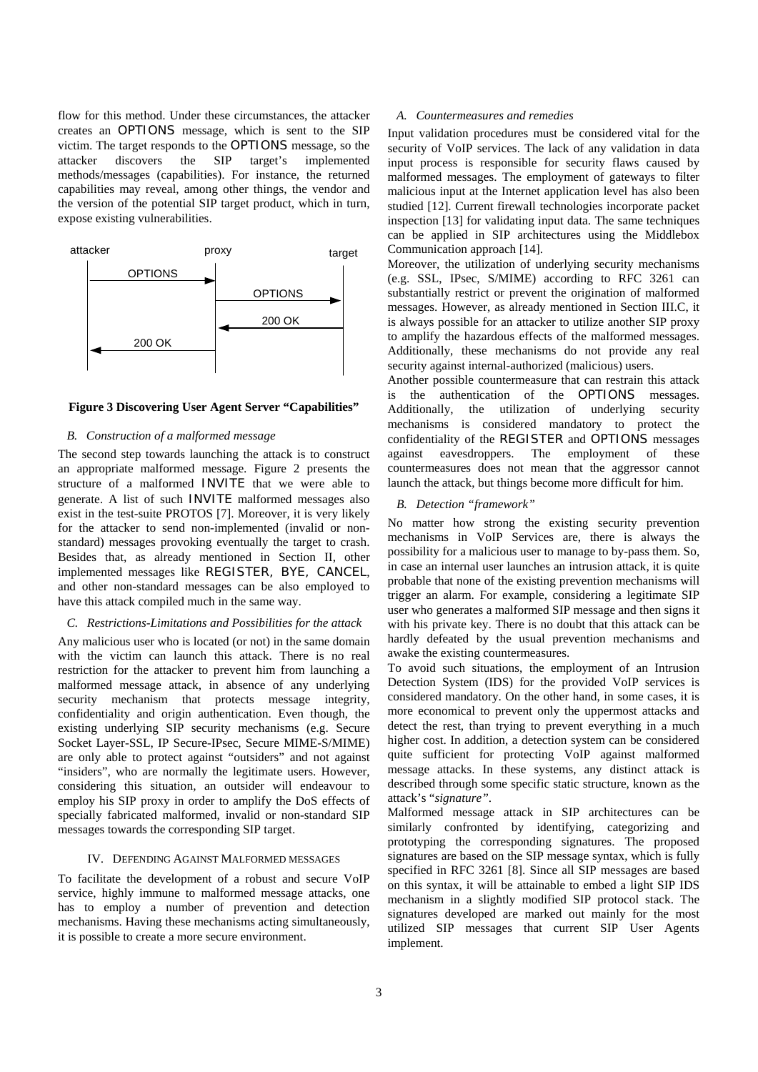flow for this method. Under these circumstances, the attacker creates an OPTIONS message, which is sent to the SIP victim. The target responds to the OPTIONS message, so the attacker discovers the SIP target's implemented methods/messages (capabilities). For instance, the returned capabilities may reveal, among other things, the vendor and the version of the potential SIP target product, which in turn, expose existing vulnerabilities.



#### **Figure 3 Discovering User Agent Server "Capabilities"**

#### *B. Construction of a malformed message*

The second step towards launching the attack is to construct an appropriate malformed message. Figure 2 presents the structure of a malformed INVITE that we were able to generate. A list of such INVITE malformed messages also exist in the test-suite PROTOS [7]. Moreover, it is very likely for the attacker to send non-implemented (invalid or nonstandard) messages provoking eventually the target to crash. Besides that, as already mentioned in Section II, other implemented messages like REGISTER, BYE, CANCEL, and other non-standard messages can be also employed to have this attack compiled much in the same way.

#### *C. Restrictions-Limitations and Possibilities for the attack*

Any malicious user who is located (or not) in the same domain with the victim can launch this attack. There is no real restriction for the attacker to prevent him from launching a malformed message attack, in absence of any underlying security mechanism that protects message integrity, confidentiality and origin authentication. Even though, the existing underlying SIP security mechanisms (e.g. Secure Socket Layer-SSL, IP Secure-IPsec, Secure MIME-S/MIME) are only able to protect against "outsiders" and not against "insiders", who are normally the legitimate users. However, considering this situation, an outsider will endeavour to employ his SIP proxy in order to amplify the DoS effects of specially fabricated malformed, invalid or non-standard SIP messages towards the corresponding SIP target.

#### IV. DEFENDING AGAINST MALFORMED MESSAGES

To facilitate the development of a robust and secure VoIP service, highly immune to malformed message attacks, one has to employ a number of prevention and detection mechanisms. Having these mechanisms acting simultaneously, it is possible to create a more secure environment.

#### *A. Countermeasures and remedies*

Input validation procedures must be considered vital for the security of VoIP services. The lack of any validation in data input process is responsible for security flaws caused by malformed messages. The employment of gateways to filter malicious input at the Internet application level has also been studied [12]. Current firewall technologies incorporate packet inspection [13] for validating input data. The same techniques can be applied in SIP architectures using the Middlebox Communication approach [14].

Moreover, the utilization of underlying security mechanisms (e.g. SSL, IPsec, S/MIME) according to RFC 3261 can substantially restrict or prevent the origination of malformed messages. However, as already mentioned in Section III.C, it is always possible for an attacker to utilize another SIP proxy to amplify the hazardous effects of the malformed messages. Additionally, these mechanisms do not provide any real security against internal-authorized (malicious) users.

Another possible countermeasure that can restrain this attack is the authentication of the OPTIONS messages. Additionally, the utilization of underlying security mechanisms is considered mandatory to protect the confidentiality of the REGISTER and OPTIONS messages against eavesdroppers. The employment of these countermeasures does not mean that the aggressor cannot launch the attack, but things become more difficult for him.

#### *B. Detection "framework"*

No matter how strong the existing security prevention mechanisms in VoIP Services are, there is always the possibility for a malicious user to manage to by-pass them. So, in case an internal user launches an intrusion attack, it is quite probable that none of the existing prevention mechanisms will trigger an alarm. For example, considering a legitimate SIP user who generates a malformed SIP message and then signs it with his private key. There is no doubt that this attack can be hardly defeated by the usual prevention mechanisms and awake the existing countermeasures.

To avoid such situations, the employment of an Intrusion Detection System (IDS) for the provided VoIP services is considered mandatory. On the other hand, in some cases, it is more economical to prevent only the uppermost attacks and detect the rest, than trying to prevent everything in a much higher cost. In addition, a detection system can be considered quite sufficient for protecting VoIP against malformed message attacks. In these systems, any distinct attack is described through some specific static structure, known as the attack's "*signature"*.

Malformed message attack in SIP architectures can be similarly confronted by identifying, categorizing and prototyping the corresponding signatures. The proposed signatures are based on the SIP message syntax, which is fully specified in RFC 3261 [8]. Since all SIP messages are based on this syntax, it will be attainable to embed a light SIP IDS mechanism in a slightly modified SIP protocol stack. The signatures developed are marked out mainly for the most utilized SIP messages that current SIP User Agents implement.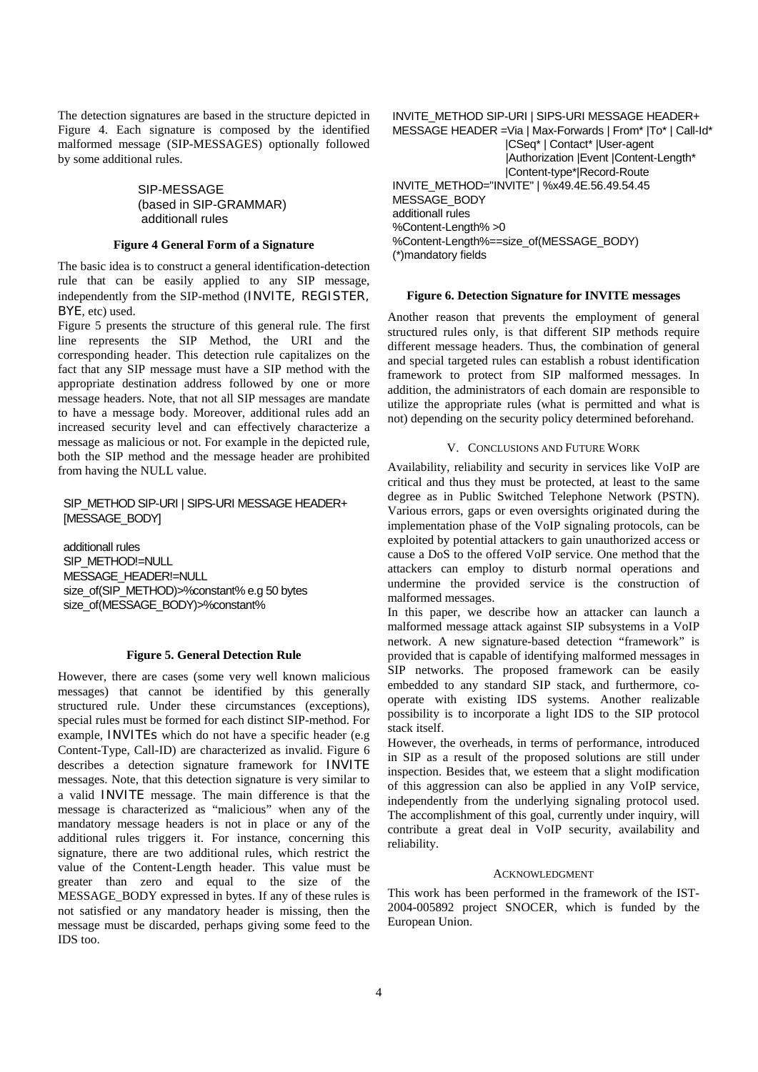The detection signatures are based in the structure depicted in Figure 4. Each signature is composed by the identified malformed message (SIP-MESSAGES) optionally followed by some additional rules.

## SIP-MESSAGE (based in SIP-GRAMMAR) additionall rules

### **Figure 4 General Form of a Signature**

The basic idea is to construct a general identification-detection rule that can be easily applied to any SIP message, independently from the SIP-method (INVITE, REGISTER, BYE, etc) used.

Figure 5 presents the structure of this general rule. The first line represents the SIP Method, the URI and the corresponding header. This detection rule capitalizes on the fact that any SIP message must have a SIP method with the appropriate destination address followed by one or more message headers. Note, that not all SIP messages are mandate to have a message body. Moreover, additional rules add an increased security level and can effectively characterize a message as malicious or not. For example in the depicted rule, both the SIP method and the message header are prohibited from having the NULL value.

### SIP\_METHOD SIP-URI | SIPS-URI MESSAGE HEADER+ [MESSAGE\_BODY]

additionall rules SIP\_METHOD!=NULL MESSAGE\_HEADER!=NULL size\_of(SIP\_METHOD)>%constant% e.g 50 bytes size\_of(MESSAGE\_BODY)>%constant%

#### **Figure 5. General Detection Rule**

However, there are cases (some very well known malicious messages) that cannot be identified by this generally structured rule. Under these circumstances (exceptions), special rules must be formed for each distinct SIP-method. For example, INVITEs which do not have a specific header (e.g Content-Type, Call-ID) are characterized as invalid. Figure 6 describes a detection signature framework for INVITE messages. Note, that this detection signature is very similar to a valid INVITE message. The main difference is that the message is characterized as "malicious" when any of the mandatory message headers is not in place or any of the additional rules triggers it. For instance, concerning this signature, there are two additional rules, which restrict the value of the Content-Length header. This value must be greater than zero and equal to the size of the MESSAGE\_BODY expressed in bytes. If any of these rules is not satisfied or any mandatory header is missing, then the message must be discarded, perhaps giving some feed to the IDS too.

INVITE\_METHOD SIP-URI | SIPS-URI MESSAGE HEADER+ MESSAGE HEADER =Via | Max-Forwards | From\* |To\* | Call-Id\* |CSeq\* | Contact\* |User-agent |Authorization |Event |Content-Length\* |Content-type\*|Record-Route INVITE\_METHOD="INVITE" | %x49.4E.56.49.54.45 MESSAGE\_BODY additionall rules %Content-Length% >0 %Content-Length%==size\_of(MESSAGE\_BODY) (\*)mandatory fields

#### **Figure 6. Detection Signature for INVITE messages**

Another reason that prevents the employment of general structured rules only, is that different SIP methods require different message headers. Thus, the combination of general and special targeted rules can establish a robust identification framework to protect from SIP malformed messages. In addition, the administrators of each domain are responsible to utilize the appropriate rules (what is permitted and what is not) depending on the security policy determined beforehand.

#### V. CONCLUSIONS AND FUTURE WORK

Availability, reliability and security in services like VoIP are critical and thus they must be protected, at least to the same degree as in Public Switched Telephone Network (PSTN). Various errors, gaps or even oversights originated during the implementation phase of the VoIP signaling protocols, can be exploited by potential attackers to gain unauthorized access or cause a DoS to the offered VoIP service. One method that the attackers can employ to disturb normal operations and undermine the provided service is the construction of malformed messages.

In this paper, we describe how an attacker can launch a malformed message attack against SIP subsystems in a VoIP network. A new signature-based detection "framework" is provided that is capable of identifying malformed messages in SIP networks. The proposed framework can be easily embedded to any standard SIP stack, and furthermore, cooperate with existing IDS systems. Another realizable possibility is to incorporate a light IDS to the SIP protocol stack itself.

However, the overheads, in terms of performance, introduced in SIP as a result of the proposed solutions are still under inspection. Besides that, we esteem that a slight modification of this aggression can also be applied in any VoIP service, independently from the underlying signaling protocol used. The accomplishment of this goal, currently under inquiry, will contribute a great deal in VoIP security, availability and reliability.

#### ACKNOWLEDGMENT

This work has been performed in the framework of the IST-2004-005892 project SNOCER, which is funded by the European Union.